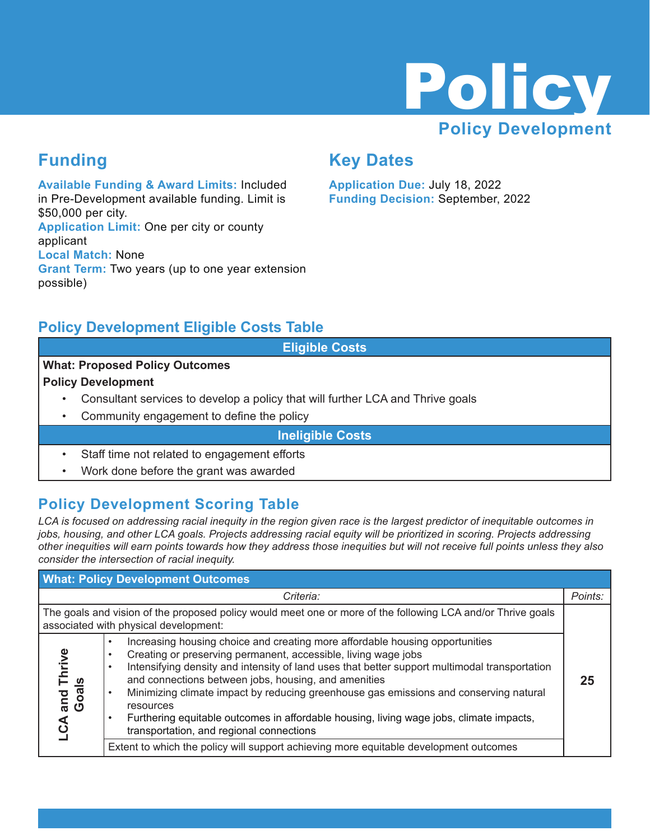

## **Funding**

**Available Funding & Award Limits:** Included in Pre-Development available funding. Limit is \$50,000 per city. **Application Limit:** One per city or county applicant **Local Match:** None **Grant Term:** Two years (up to one year extension possible)

## **Key Dates**

**Application Due:** July 18, 2022 **Funding Decision:** September, 2022

### **Policy Development Eligible Costs Table**

**Eligible Costs**

#### **What: Proposed Policy Outcomes**

**Policy Development**

- Consultant services to develop a policy that will further LCA and Thrive goals
- Community engagement to define the policy

**Ineligible Costs**

- Staff time not related to engagement efforts
- Work done before the grant was awarded

## **Policy Development Scoring Table**

*LCA is focused on addressing racial inequity in the region given race is the largest predictor of inequitable outcomes in jobs, housing, and other LCA goals. Projects addressing racial equity will be prioritized in scoring. Projects addressing other inequities will earn points towards how they address those inequities but will not receive full points unless they also consider the intersection of racial inequity.*

| <b>What: Policy Development Outcomes</b>                                                                                                             |                                                                                                                                                                                                                                                                                                                                                                                                                                                                                                                                                                                                                                                                                   |         |  |
|------------------------------------------------------------------------------------------------------------------------------------------------------|-----------------------------------------------------------------------------------------------------------------------------------------------------------------------------------------------------------------------------------------------------------------------------------------------------------------------------------------------------------------------------------------------------------------------------------------------------------------------------------------------------------------------------------------------------------------------------------------------------------------------------------------------------------------------------------|---------|--|
|                                                                                                                                                      | Criteria:                                                                                                                                                                                                                                                                                                                                                                                                                                                                                                                                                                                                                                                                         | Points: |  |
| The goals and vision of the proposed policy would meet one or more of the following LCA and/or Thrive goals<br>associated with physical development: |                                                                                                                                                                                                                                                                                                                                                                                                                                                                                                                                                                                                                                                                                   |         |  |
| and Thrive<br>Goals                                                                                                                                  | Increasing housing choice and creating more affordable housing opportunities<br>Creating or preserving permanent, accessible, living wage jobs<br>٠<br>Intensifying density and intensity of land uses that better support multimodal transportation<br>$\bullet$<br>and connections between jobs, housing, and amenities<br>Minimizing climate impact by reducing greenhouse gas emissions and conserving natural<br>$\bullet$<br>resources<br>Furthering equitable outcomes in affordable housing, living wage jobs, climate impacts,<br>٠<br>transportation, and regional connections<br>Extent to which the policy will support achieving more equitable development outcomes | 25      |  |